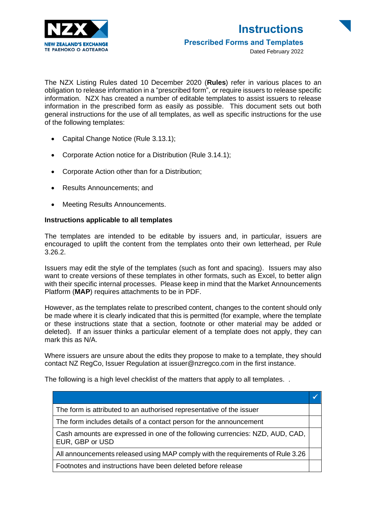

The NZX Listing Rules dated 10 December 2020 (**Rules**) refer in various places to an obligation to release information in a "prescribed form", or require issuers to release specific information. NZX has created a number of editable templates to assist issuers to release information in the prescribed form as easily as possible. This document sets out both general instructions for the use of all templates, as well as specific instructions for the use of the following templates:

- Capital Change Notice (Rule 3.13.1);
- Corporate Action notice for a Distribution (Rule 3.14.1);
- Corporate Action other than for a Distribution;
- Results Announcements; and
- Meeting Results Announcements.

### **Instructions applicable to all templates**

The templates are intended to be editable by issuers and, in particular, issuers are encouraged to uplift the content from the templates onto their own letterhead, per Rule 3.26.2.

Issuers may edit the style of the templates (such as font and spacing). Issuers may also want to create versions of these templates in other formats, such as Excel, to better align with their specific internal processes. Please keep in mind that the Market Announcements Platform (**MAP**) requires attachments to be in PDF.

However, as the templates relate to prescribed content, changes to the content should only be made where it is clearly indicated that this is permitted (for example, where the template or these instructions state that a section, footnote or other material may be added or deleted). If an issuer thinks a particular element of a template does not apply, they can mark this as N/A.

Where issuers are unsure about the edits they propose to make to a template, they should contact NZ RegCo, Issuer Regulation at issuer@nzregco.com in the first instance.

The following is a high level checklist of the matters that apply to all templates. .

| The form is attributed to an authorised representative of the issuer                             |  |
|--------------------------------------------------------------------------------------------------|--|
| The form includes details of a contact person for the announcement                               |  |
| Cash amounts are expressed in one of the following currencies: NZD, AUD, CAD,<br>EUR, GBP or USD |  |
| All announcements released using MAP comply with the requirements of Rule 3.26                   |  |
| Footnotes and instructions have been deleted before release                                      |  |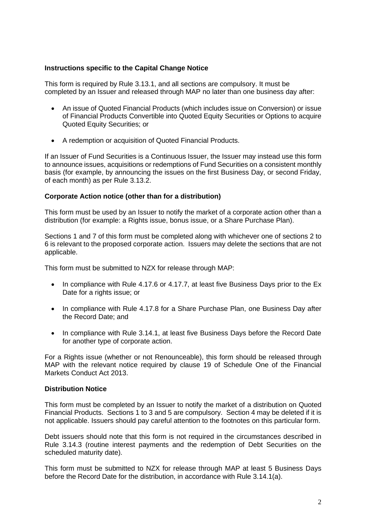# **Instructions specific to the Capital Change Notice**

This form is required by Rule 3.13.1, and all sections are compulsory. It must be completed by an Issuer and released through MAP no later than one business day after:

- An issue of Quoted Financial Products (which includes issue on Conversion) or issue of Financial Products Convertible into Quoted Equity Securities or Options to acquire Quoted Equity Securities; or
- A redemption or acquisition of Quoted Financial Products.

If an Issuer of Fund Securities is a Continuous Issuer, the Issuer may instead use this form to announce issues, acquisitions or redemptions of Fund Securities on a consistent monthly basis (for example, by announcing the issues on the first Business Day, or second Friday, of each month) as per Rule 3.13.2.

## **Corporate Action notice (other than for a distribution)**

This form must be used by an Issuer to notify the market of a corporate action other than a distribution (for example: a Rights issue, bonus issue, or a Share Purchase Plan).

Sections 1 and 7 of this form must be completed along with whichever one of sections 2 to 6 is relevant to the proposed corporate action. Issuers may delete the sections that are not applicable.

This form must be submitted to NZX for release through MAP:

- In compliance with Rule 4.17.6 or 4.17.7, at least five Business Days prior to the Ex Date for a rights issue; or
- In compliance with Rule 4.17.8 for a Share Purchase Plan, one Business Day after the Record Date; and
- In compliance with Rule 3.14.1, at least five Business Days before the Record Date for another type of corporate action.

For a Rights issue (whether or not Renounceable), this form should be released through MAP with the relevant notice required by clause 19 of Schedule One of the Financial Markets Conduct Act 2013.

## **Distribution Notice**

This form must be completed by an Issuer to notify the market of a distribution on Quoted Financial Products. Sections 1 to 3 and 5 are compulsory. Section 4 may be deleted if it is not applicable. Issuers should pay careful attention to the footnotes on this particular form.

Debt issuers should note that this form is not required in the circumstances described in Rule 3.14.3 (routine interest payments and the redemption of Debt Securities on the scheduled maturity date).

This form must be submitted to NZX for release through MAP at least 5 Business Days before the Record Date for the distribution, in accordance with Rule 3.14.1(a).